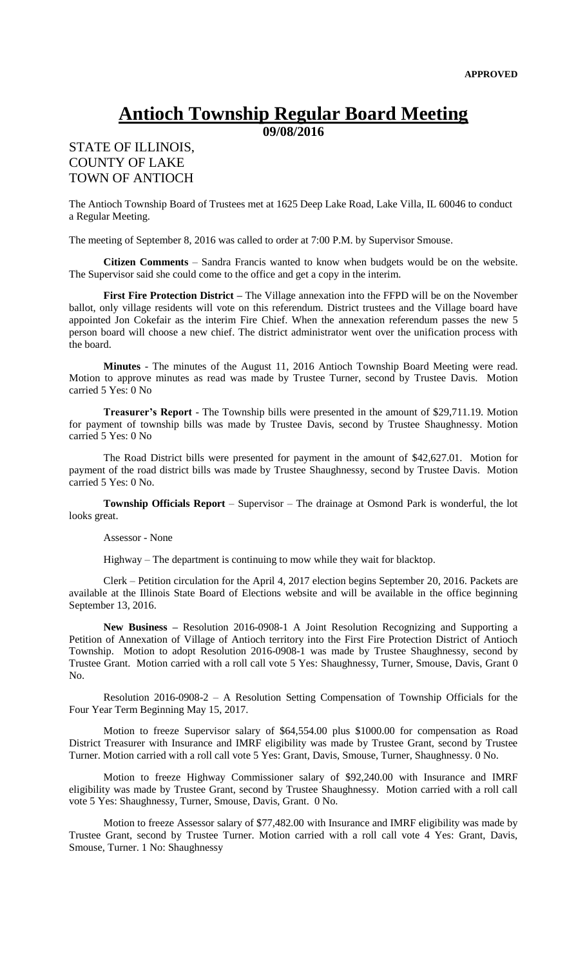## **Antioch Township Regular Board Meeting**

**09/08/2016**

## STATE OF ILLINOIS, COUNTY OF LAKE TOWN OF ANTIOCH

The Antioch Township Board of Trustees met at 1625 Deep Lake Road, Lake Villa, IL 60046 to conduct a Regular Meeting.

The meeting of September 8, 2016 was called to order at 7:00 P.M. by Supervisor Smouse.

**Citizen Comments** – Sandra Francis wanted to know when budgets would be on the website. The Supervisor said she could come to the office and get a copy in the interim.

**First Fire Protection District –** The Village annexation into the FFPD will be on the November ballot, only village residents will vote on this referendum. District trustees and the Village board have appointed Jon Cokefair as the interim Fire Chief. When the annexation referendum passes the new 5 person board will choose a new chief. The district administrator went over the unification process with the board.

**Minutes** - The minutes of the August 11, 2016 Antioch Township Board Meeting were read. Motion to approve minutes as read was made by Trustee Turner, second by Trustee Davis. Motion carried 5 Yes: 0 No

**Treasurer's Report** - The Township bills were presented in the amount of \$29,711.19. Motion for payment of township bills was made by Trustee Davis, second by Trustee Shaughnessy. Motion carried 5 Yes: 0 No

The Road District bills were presented for payment in the amount of \$42,627.01. Motion for payment of the road district bills was made by Trustee Shaughnessy, second by Trustee Davis. Motion carried 5 Yes: 0 No.

**Township Officials Report** – Supervisor – The drainage at Osmond Park is wonderful, the lot looks great.

Assessor - None

Highway – The department is continuing to mow while they wait for blacktop.

Clerk – Petition circulation for the April 4, 2017 election begins September 20, 2016. Packets are available at the Illinois State Board of Elections website and will be available in the office beginning September 13, 2016.

**New Business –** Resolution 2016-0908-1 A Joint Resolution Recognizing and Supporting a Petition of Annexation of Village of Antioch territory into the First Fire Protection District of Antioch Township. Motion to adopt Resolution 2016-0908-1 was made by Trustee Shaughnessy, second by Trustee Grant. Motion carried with a roll call vote 5 Yes: Shaughnessy, Turner, Smouse, Davis, Grant 0 No.

Resolution 2016-0908-2 – A Resolution Setting Compensation of Township Officials for the Four Year Term Beginning May 15, 2017.

Motion to freeze Supervisor salary of \$64,554.00 plus \$1000.00 for compensation as Road District Treasurer with Insurance and IMRF eligibility was made by Trustee Grant, second by Trustee Turner. Motion carried with a roll call vote 5 Yes: Grant, Davis, Smouse, Turner, Shaughnessy. 0 No.

Motion to freeze Highway Commissioner salary of \$92,240.00 with Insurance and IMRF eligibility was made by Trustee Grant, second by Trustee Shaughnessy. Motion carried with a roll call vote 5 Yes: Shaughnessy, Turner, Smouse, Davis, Grant. 0 No.

Motion to freeze Assessor salary of \$77,482.00 with Insurance and IMRF eligibility was made by Trustee Grant, second by Trustee Turner. Motion carried with a roll call vote 4 Yes: Grant, Davis, Smouse, Turner. 1 No: Shaughnessy